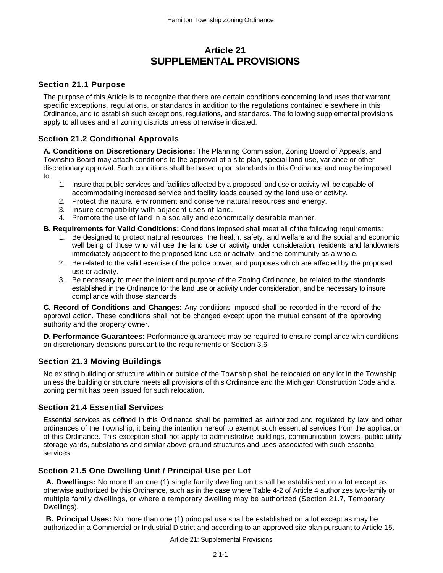# **Article 21 SUPPLEMENTAL PROVISIONS**

### **Section 21.1 Purpose**

The purpose of this Article is to recognize that there are certain conditions concerning land uses that warrant specific exceptions, regulations, or standards in addition to the regulations contained elsewhere in this Ordinance, and to establish such exceptions, regulations, and standards. The following supplemental provisions apply to all uses and all zoning districts unless otherwise indicated.

## **Section 21.2 Conditional Approvals**

**A. Conditions on Discretionary Decisions:** The Planning Commission, Zoning Board of Appeals, and Township Board may attach conditions to the approval of a site plan, special land use, variance or other discretionary approval. Such conditions shall be based upon standards in this Ordinance and may be imposed to:

- 1. Insure that public services and facilities affected by a proposed land use or activity will be capable of accommodating increased service and facility loads caused by the land use or activity.
- 2. Protect the natural environment and conserve natural resources and energy.
- 3. Insure compatibility with adjacent uses of land.
- 4. Promote the use of land in a socially and economically desirable manner.
- **B. Requirements for Valid Conditions:** Conditions imposed shall meet all of the following requirements:
	- 1. Be designed to protect natural resources, the health, safety, and welfare and the social and economic well being of those who will use the land use or activity under consideration, residents and landowners immediately adjacent to the proposed land use or activity, and the community as a whole.
	- 2. Be related to the valid exercise of the police power, and purposes which are affected by the proposed use or activity.
	- 3. Be necessary to meet the intent and purpose of the Zoning Ordinance, be related to the standards established in the Ordinance for the land use or activity under consideration, and be necessary to insure compliance with those standards.

**C. Record of Conditions and Changes:** Any conditions imposed shall be recorded in the record of the approval action. These conditions shall not be changed except upon the mutual consent of the approving authority and the property owner.

**D. Performance Guarantees:** Performance guarantees may be required to ensure compliance with conditions on discretionary decisions pursuant to the requirements of Section 3.6.

## **Section 21.3 Moving Buildings**

No existing building or structure within or outside of the Township shall be relocated on any lot in the Township unless the building or structure meets all provisions of this Ordinance and the Michigan Construction Code and a zoning permit has been issued for such relocation.

## **Section 21.4 Essential Services**

Essential services as defined in this Ordinance shall be permitted as authorized and regulated by law and other ordinances of the Township, it being the intention hereof to exempt such essential services from the application of this Ordinance. This exception shall not apply to administrative buildings, communication towers, public utility storage yards, substations and similar above-ground structures and uses associated with such essential services.

## **Section 21.5 One Dwelling Unit / Principal Use per Lot**

**A. Dwellings:** No more than one (1) single family dwelling unit shall be established on a lot except as otherwise authorized by this Ordinance, such as in the case where Table 4-2 of Article 4 authorizes two-family or multiple family dwellings, or where a temporary dwelling may be authorized (Section 21.7, Temporary Dwellings).

**B. Principal Uses:** No more than one (1) principal use shall be established on a lot except as may be authorized in a Commercial or Industrial District and according to an approved site plan pursuant to Article 15.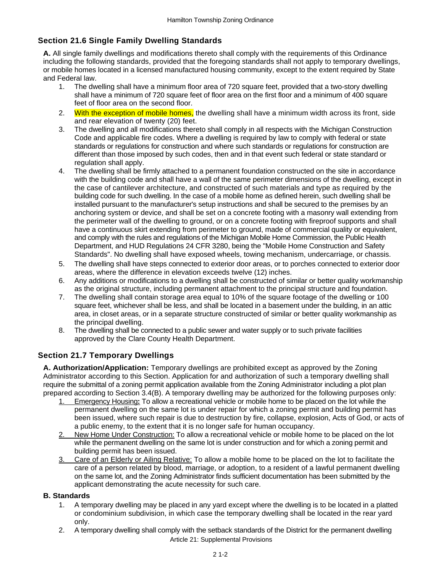## **Section 21.6 Single Family Dwelling Standards**

**A.** All single family dwellings and modifications thereto shall comply with the requirements of this Ordinance including the following standards, provided that the foregoing standards shall not apply to temporary dwellings, or mobile homes located in a licensed manufactured housing community, except to the extent required by State and Federal law.

- 1. The dwelling shall have a minimum floor area of 720 square feet, provided that a two-story dwelling shall have a minimum of 720 square feet of floor area on the first floor and a minimum of 400 square feet of floor area on the second floor.
- 2. With the exception of mobile homes, the dwelling shall have a minimum width across its front, side and rear elevation of twenty (20) feet.
- 3. The dwelling and all modifications thereto shall comply in all respects with the Michigan Construction Code and applicable fire codes. Where a dwelling is required by law to comply with federal or state standards or regulations for construction and where such standards or regulations for construction are different than those imposed by such codes, then and in that event such federal or state standard or regulation shall apply.
- 4. The dwelling shall be firmly attached to a permanent foundation constructed on the site in accordance with the building code and shall have a wall of the same perimeter dimensions of the dwelling, except in the case of cantilever architecture, and constructed of such materials and type as required by the building code for such dwelling. In the case of a mobile home as defined herein, such dwelling shall be installed pursuant to the manufacturer's setup instructions and shall be secured to the premises by an anchoring system or device, and shall be set on a concrete footing with a masonry wall extending from the perimeter wall of the dwelling to ground, or on a concrete footing with fireproof supports and shall have a continuous skirt extending from perimeter to ground, made of commercial quality or equivalent, and comply with the rules and regulations of the Michigan Mobile Home Commission, the Public Health Department, and HUD Regulations 24 CFR 3280, being the "Mobile Home Construction and Safety Standards". No dwelling shall have exposed wheels, towing mechanism, undercarriage, or chassis.
- 5. The dwelling shall have steps connected to exterior door areas, or to porches connected to exterior door areas, where the difference in elevation exceeds twelve (12) inches.
- 6. Any additions or modifications to a dwelling shall be constructed of similar or better quality workmanship as the original structure, including permanent attachment to the principal structure and foundation.
- 7. The dwelling shall contain storage area equal to 10% of the square footage of the dwelling or 100 square feet, whichever shall be less, and shall be located in a basement under the building, in an attic area, in closet areas, or in a separate structure constructed of similar or better quality workmanship as the principal dwelling.
- 8. The dwelling shall be connected to a public sewer and water supply or to such private facilities approved by the Clare County Health Department.

## **Section 21.7 Temporary Dwellings**

**A. Authorization/Application:** Temporary dwellings are prohibited except as approved by the Zoning Administrator according to this Section. Application for and authorization of such a temporary dwelling shall require the submittal of a zoning permit application available from the Zoning Administrator including a plot plan prepared according to Section 3.4(B). A temporary dwelling may be authorized for the following purposes only:

- 1. Emergency Housing**:** To allow a recreational vehicle or mobile home to be placed on the lot while the permanent dwelling on the same lot is under repair for which a zoning permit and building permit has been issued, where such repair is due to destruction by fire, collapse, explosion, Acts of God, or acts of a public enemy, to the extent that it is no longer safe for human occupancy.
- 2. New Home Under Construction: To allow a recreational vehicle or mobile home to be placed on the lot while the permanent dwelling on the same lot is under construction and for which a zoning permit and building permit has been issued.
- 3. Care of an Elderly or Ailing Relative: To allow a mobile home to be placed on the lot to facilitate the care of a person related by blood, marriage, or adoption, to a resident of a lawful permanent dwelling on the same lot, and the Zoning Administrator finds sufficient documentation has been submitted by the applicant demonstrating the acute necessity for such care.

### **B. Standards**

- 1. A temporary dwelling may be placed in any yard except where the dwelling is to be located in a platted or condominium subdivision, in which case the temporary dwelling shall be located in the rear yard only.
- Article 21: Supplemental Provisions 2. A temporary dwelling shall comply with the setback standards of the District for the permanent dwelling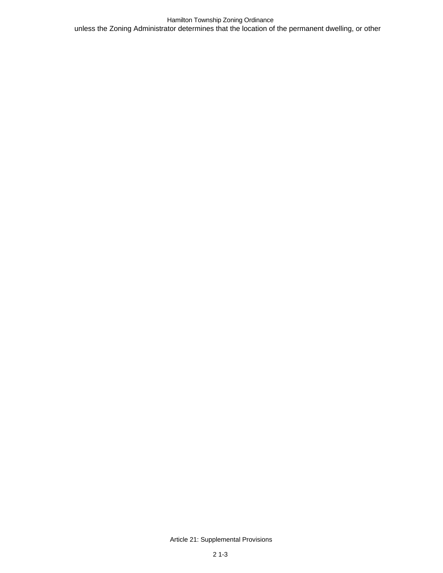Hamilton Township Zoning Ordinance unless the Zoning Administrator determines that the location of the permanent dwelling, or other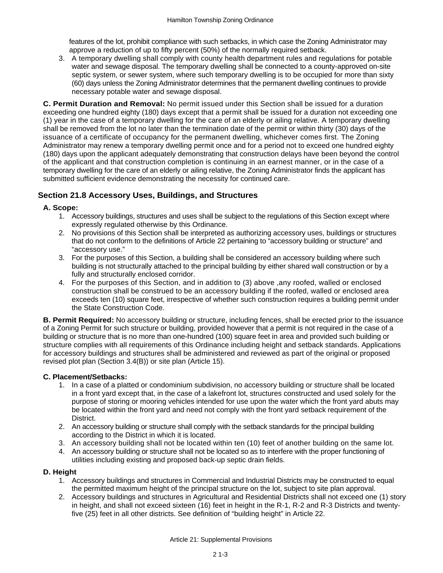features of the lot, prohibit compliance with such setbacks, in which case the Zoning Administrator may approve a reduction of up to fifty percent (50%) of the normally required setback.

3. A temporary dwelling shall comply with county health department rules and regulations for potable water and sewage disposal. The temporary dwelling shall be connected to a county-approved on-site septic system, or sewer system, where such temporary dwelling is to be occupied for more than sixty (60) days unless the Zoning Administrator determines that the permanent dwelling continues to provide necessary potable water and sewage disposal.

**C. Permit Duration and Removal:** No permit issued under this Section shall be issued for a duration exceeding one hundred eighty (180) days except that a permit shall be issued for a duration not exceeding one (1) year in the case of a temporary dwelling for the care of an elderly or ailing relative. A temporary dwelling shall be removed from the lot no later than the termination date of the permit or within thirty (30) days of the issuance of a certificate of occupancy for the permanent dwelling, whichever comes first. The Zoning Administrator may renew a temporary dwelling permit once and for a period not to exceed one hundred eighty (180) days upon the applicant adequately demonstrating that construction delays have been beyond the control of the applicant and that construction completion is continuing in an earnest manner, or in the case of a temporary dwelling for the care of an elderly or ailing relative, the Zoning Administrator finds the applicant has submitted sufficient evidence demonstrating the necessity for continued care.

## **Section 21.8 Accessory Uses, Buildings, and Structures**

### **A. Scope:**

- 1. Accessory buildings, structures and uses shall be subject to the regulations of this Section except where expressly regulated otherwise by this Ordinance.
- 2. No provisions of this Section shall be interpreted as authorizing accessory uses, buildings or structures that do not conform to the definitions of Article 22 pertaining to "accessory building or structure" and "accessory use."
- 3. For the purposes of this Section, a building shall be considered an accessory building where such building is not structurally attached to the principal building by either shared wall construction or by a fully and structurally enclosed corridor.
- 4. For the purposes of this Section, and in addition to (3) above ,any roofed, walled or enclosed construction shall be construed to be an accessory building if the roofed, walled or enclosed area exceeds ten (10) square feet, irrespective of whether such construction requires a building permit under the State Construction Code.

**B. Permit Required:** No accessory building or structure, including fences, shall be erected prior to the issuance of a Zoning Permit for such structure or building, provided however that a permit is not required in the case of a building or structure that is no more than one-hundred (100) square feet in area and provided such building or structure complies with all requirements of this Ordinance including height and setback standards. Applications for accessory buildings and structures shall be administered and reviewed as part of the original or proposed revised plot plan (Section 3.4(B)) or site plan (Article 15).

### **C. Placement/Setbacks:**

- 1. In a case of a platted or condominium subdivision, no accessory building or structure shall be located in a front yard except that, in the case of a lakefront lot, structures constructed and used solely for the purpose of storing or mooring vehicles intended for use upon the water which the front yard abuts may be located within the front yard and need not comply with the front yard setback requirement of the District.
- 2. An accessory building or structure shall comply with the setback standards for the principal building according to the District in which it is located.
- 3. An accessory building shall not be located within ten (10) feet of another building on the same lot.
- 4. An accessory building or structure shall not be located so as to interfere with the proper functioning of utilities including existing and proposed back-up septic drain fields.

### **D. Height**

- 1. Accessory buildings and structures in Commercial and Industrial Districts may be constructed to equal the permitted maximum height of the principal structure on the lot, subject to site plan approval.
- 2. Accessory buildings and structures in Agricultural and Residential Districts shall not exceed one (1) story in height, and shall not exceed sixteen (16) feet in height in the R-1, R-2 and R-3 Districts and twentyfive (25) feet in all other districts. See definition of "building height" in Article 22.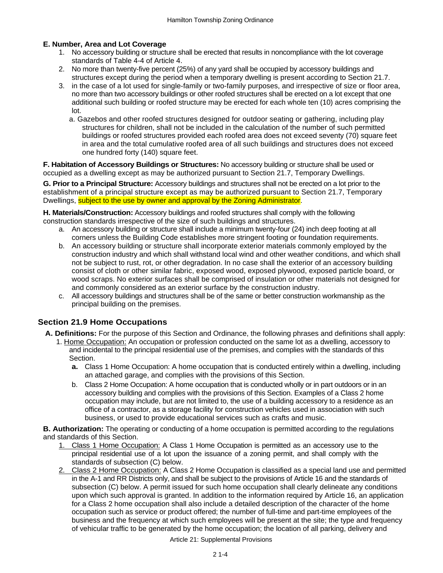### **E. Number, Area and Lot Coverage**

- 1. No accessory building or structure shall be erected that results in noncompliance with the lot coverage standards of Table 4-4 of Article 4.
- 2. No more than twenty-five percent (25%) of any yard shall be occupied by accessory buildings and structures except during the period when a temporary dwelling is present according to Section 21.7.
- 3. in the case of a lot used for single-family or two-family purposes, and irrespective of size or floor area, no more than two accessory buildings or other roofed structures shall be erected on a lot except that one additional such building or roofed structure may be erected for each whole ten (10) acres comprising the lot.
	- a. Gazebos and other roofed structures designed for outdoor seating or gathering, including play structures for children, shall not be included in the calculation of the number of such permitted buildings or roofed structures provided each roofed area does not exceed seventy (70) square feet in area and the total cumulative roofed area of all such buildings and structures does not exceed one hundred forty (140) square feet.

**F. Habitation of Accessory Buildings or Structures:** No accessory building or structure shall be used or occupied as a dwelling except as may be authorized pursuant to Section 21.7, Temporary Dwellings.

**G. Prior to a Principal Structure:** Accessory buildings and structures shall not be erected on a lot prior to the establishment of a principal structure except as may be authorized pursuant to Section 21.7, Temporary Dwellings, subject to the use by owner and approval by the Zoning Administrator.

**H. Materials/Construction:** Accessory buildings and roofed structures shall comply with the following construction standards irrespective of the size of such buildings and structures.

- a. An accessory building or structure shall include a minimum twenty-four (24) inch deep footing at all corners unless the Building Code establishes more stringent footing or foundation requirements.
- b. An accessory building or structure shall incorporate exterior materials commonly employed by the construction industry and which shall withstand local wind and other weather conditions, and which shall not be subject to rust, rot, or other degradation. In no case shall the exterior of an accessory building consist of cloth or other similar fabric, exposed wood, exposed plywood, exposed particle board, or wood scraps. No exterior surfaces shall be comprised of insulation or other materials not designed for and commonly considered as an exterior surface by the construction industry.
- c. All accessory buildings and structures shall be of the same or better construction workmanship as the principal building on the premises.

## **Section 21.9 Home Occupations**

- **A. Definitions:** For the purpose of this Section and Ordinance, the following phrases and definitions shall apply:
	- 1. Home Occupation: An occupation or profession conducted on the same lot as a dwelling, accessory to and incidental to the principal residential use of the premises, and complies with the standards of this Section.
		- **a.** Class 1 Home Occupation: A home occupation that is conducted entirely within a dwelling, including an attached garage, and complies with the provisions of this Section.
		- b. Class 2 Home Occupation: A home occupation that is conducted wholly or in part outdoors or in an accessory building and complies with the provisions of this Section. Examples of a Class 2 home occupation may include, but are not limited to, the use of a building accessory to a residence as an office of a contractor, as a storage facility for construction vehicles used in association with such business, or used to provide educational services such as crafts and music.

**B. Authorization:** The operating or conducting of a home occupation is permitted according to the regulations and standards of this Section.

- 1. Class 1 Home Occupation: A Class 1 Home Occupation is permitted as an accessory use to the principal residential use of a lot upon the issuance of a zoning permit, and shall comply with the standards of subsection (C) below.
- 2. Class 2 Home Occupation: A Class 2 Home Occupation is classified as a special land use and permitted in the A-1 and RR Districts only, and shall be subject to the provisions of Article 16 and the standards of subsection (C) below. A permit issued for such home occupation shall clearly delineate any conditions upon which such approval is granted. In addition to the information required by Article 16, an application for a Class 2 home occupation shall also include a detailed description of the character of the home occupation such as service or product offered; the number of full-time and part-time employees of the business and the frequency at which such employees will be present at the site; the type and frequency of vehicular traffic to be generated by the home occupation; the location of all parking, delivery and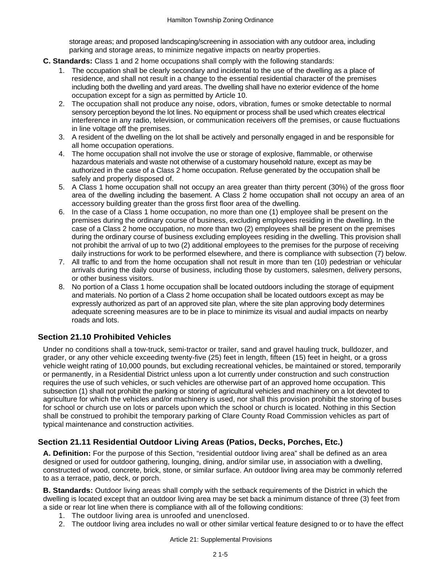storage areas; and proposed landscaping/screening in association with any outdoor area, including parking and storage areas, to minimize negative impacts on nearby properties.

- **C. Standards:** Class 1 and 2 home occupations shall comply with the following standards:
	- 1. The occupation shall be clearly secondary and incidental to the use of the dwelling as a place of residence, and shall not result in a change to the essential residential character of the premises including both the dwelling and yard areas. The dwelling shall have no exterior evidence of the home occupation except for a sign as permitted by Article 10.
	- 2. The occupation shall not produce any noise, odors, vibration, fumes or smoke detectable to normal sensory perception beyond the lot lines. No equipment or process shall be used which creates electrical interference in any radio, television, or communication receivers off the premises, or cause fluctuations in line voltage off the premises.
	- 3. A resident of the dwelling on the lot shall be actively and personally engaged in and be responsible for all home occupation operations.
	- 4. The home occupation shall not involve the use or storage of explosive, flammable, or otherwise hazardous materials and waste not otherwise of a customary household nature, except as may be authorized in the case of a Class 2 home occupation. Refuse generated by the occupation shall be safely and properly disposed of.
	- 5. A Class 1 home occupation shall not occupy an area greater than thirty percent (30%) of the gross floor area of the dwelling including the basement. A Class 2 home occupation shall not occupy an area of an accessory building greater than the gross first floor area of the dwelling.
	- 6. In the case of a Class 1 home occupation, no more than one (1) employee shall be present on the premises during the ordinary course of business, excluding employees residing in the dwelling. In the case of a Class 2 home occupation, no more than two (2) employees shall be present on the premises during the ordinary course of business excluding employees residing in the dwelling. This provision shall not prohibit the arrival of up to two (2) additional employees to the premises for the purpose of receiving daily instructions for work to be performed elsewhere, and there is compliance with subsection (7) below.
	- 7. All traffic to and from the home occupation shall not result in more than ten (10) pedestrian or vehicular arrivals during the daily course of business, including those by customers, salesmen, delivery persons, or other business visitors.
	- 8. No portion of a Class 1 home occupation shall be located outdoors including the storage of equipment and materials. No portion of a Class 2 home occupation shall be located outdoors except as may be expressly authorized as part of an approved site plan, where the site plan approving body determines adequate screening measures are to be in place to minimize its visual and audial impacts on nearby roads and lots.

## **Section 21.10 Prohibited Vehicles**

Under no conditions shall a tow-truck, semi-tractor or trailer, sand and gravel hauling truck, bulldozer, and grader, or any other vehicle exceeding twenty-five (25) feet in length, fifteen (15) feet in height, or a gross vehicle weight rating of 10,000 pounds, but excluding recreational vehicles, be maintained or stored, temporarily or permanently, in a Residential District unless upon a lot currently under construction and such construction requires the use of such vehicles, or such vehicles are otherwise part of an approved home occupation. This subsection (1) shall not prohibit the parking or storing of agricultural vehicles and machinery on a lot devoted to agriculture for which the vehicles and/or machinery is used, nor shall this provision prohibit the storing of buses for school or church use on lots or parcels upon which the school or church is located. Nothing in this Section shall be construed to prohibit the temporary parking of Clare County Road Commission vehicles as part of typical maintenance and construction activities.

## **Section 21.11 Residential Outdoor Living Areas (Patios, Decks, Porches, Etc.)**

**A. Definition:** For the purpose of this Section, "residential outdoor living area" shall be defined as an area designed or used for outdoor gathering, lounging, dining, and/or similar use, in association with a dwelling, constructed of wood, concrete, brick, stone, or similar surface. An outdoor living area may be commonly referred to as a terrace, patio, deck, or porch.

**B. Standards:** Outdoor living areas shall comply with the setback requirements of the District in which the dwelling is located except that an outdoor living area may be set back a minimum distance of three (3) feet from a side or rear lot line when there is compliance with all of the following conditions:

- 1. The outdoor living area is unroofed and unenclosed.
- 2. The outdoor living area includes no wall or other similar vertical feature designed to or to have the effect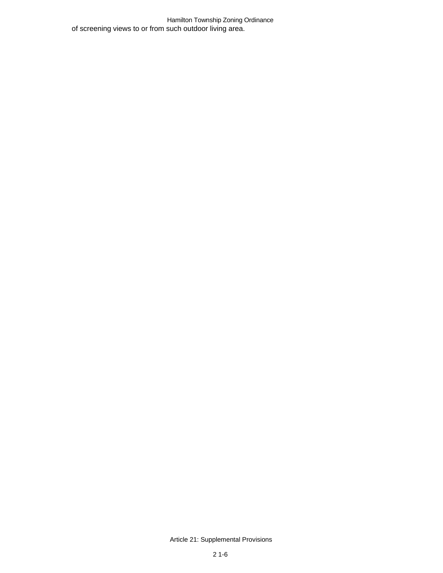Hamilton Township Zoning Ordinance of screening views to or from such outdoor living area.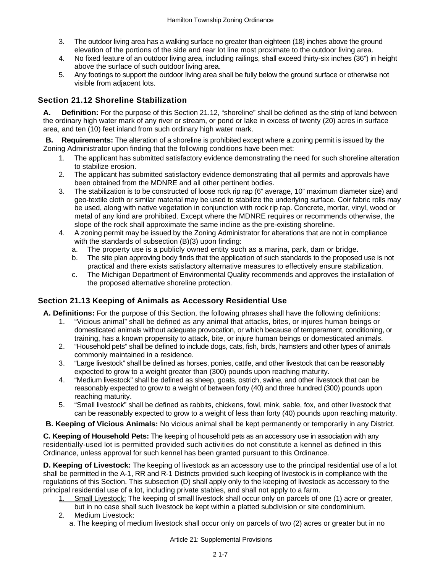- 3. The outdoor living area has a walking surface no greater than eighteen (18) inches above the ground elevation of the portions of the side and rear lot line most proximate to the outdoor living area.
- 4. No fixed feature of an outdoor living area, including railings, shall exceed thirty-six inches (36") in height above the surface of such outdoor living area.
- 5. Any footings to support the outdoor living area shall be fully below the ground surface or otherwise not visible from adjacent lots.

## **Section 21.12 Shoreline Stabilization**

**A. Definition:** For the purpose of this Section 21.12, "shoreline" shall be defined as the strip of land between the ordinary high water mark of any river or stream, or pond or lake in excess of twenty (20) acres in surface area, and ten (10) feet inland from such ordinary high water mark.

**B. Requirements:** The alteration of a shoreline is prohibited except where a zoning permit is issued by the Zoning Administrator upon finding that the following conditions have been met:

- 1. The applicant has submitted satisfactory evidence demonstrating the need for such shoreline alteration to stabilize erosion.
- 2. The applicant has submitted satisfactory evidence demonstrating that all permits and approvals have been obtained from the MDNRE and all other pertinent bodies.
- 3. The stabilization is to be constructed of loose rock rip rap (6" average, 10" maximum diameter size) and geo-textile cloth or similar material may be used to stabilize the underlying surface. Coir fabric rolls may be used, along with native vegetation in conjunction with rock rip rap. Concrete, mortar, vinyl, wood or metal of any kind are prohibited. Except where the MDNRE requires or recommends otherwise, the slope of the rock shall approximate the same incline as the pre-existing shoreline.
- 4. A zoning permit may be issued by the Zoning Administrator for alterations that are not in compliance with the standards of subsection (B)(3) upon finding:
	- a. The property use is a publicly owned entity such as a marina, park, dam or bridge.
	- b. The site plan approving body finds that the application of such standards to the proposed use is not practical and there exists satisfactory alternative measures to effectively ensure stabilization.
	- c. The Michigan Department of Environmental Quality recommends and approves the installation of the proposed alternative shoreline protection.

## **Section 21.13 Keeping of Animals as Accessory Residential Use**

**A. Definitions:** For the purpose of this Section, the following phrases shall have the following definitions:

- 1. "Vicious animal" shall be defined as any animal that attacks, bites, or injures human beings or domesticated animals without adequate provocation, or which because of temperament, conditioning, or training, has a known propensity to attack, bite, or injure human beings or domesticated animals.
- 2. "Household pets" shall be defined to include dogs, cats, fish, birds, hamsters and other types of animals commonly maintained in a residence.
- 3. "Large livestock" shall be defined as horses, ponies, cattle, and other livestock that can be reasonably expected to grow to a weight greater than (300) pounds upon reaching maturity.
- 4. "Medium livestock" shall be defined as sheep, goats, ostrich, swine, and other livestock that can be reasonably expected to grow to a weight of between forty (40) and three hundred (300) pounds upon reaching maturity.
- 5. "Small livestock" shall be defined as rabbits, chickens, fowl, mink, sable, fox, and other livestock that can be reasonably expected to grow to a weight of less than forty (40) pounds upon reaching maturity.

**B. Keeping of Vicious Animals:** No vicious animal shall be kept permanently or temporarily in any District.

**C. Keeping of Household Pets:** The keeping of household pets as an accessory use in association with any residentially-used lot is permitted provided such activities do not constitute a kennel as defined in this Ordinance, unless approval for such kennel has been granted pursuant to this Ordinance.

**D. Keeping of Livestock:** The keeping of livestock as an accessory use to the principal residential use of a lot shall be permitted in the A-1, RR and R-1 Districts provided such keeping of livestock is in compliance with the regulations of this Section. This subsection (D) shall apply only to the keeping of livestock as accessory to the principal residential use of a lot, including private stables, and shall not apply to a farm.

- Small Livestock: The keeping of small livestock shall occur only on parcels of one (1) acre or greater,
	- but in no case shall such livestock be kept within a platted subdivision or site condominium.
- 2. Medium Livestock:
	- a. The keeping of medium livestock shall occur only on parcels of two (2) acres or greater but in no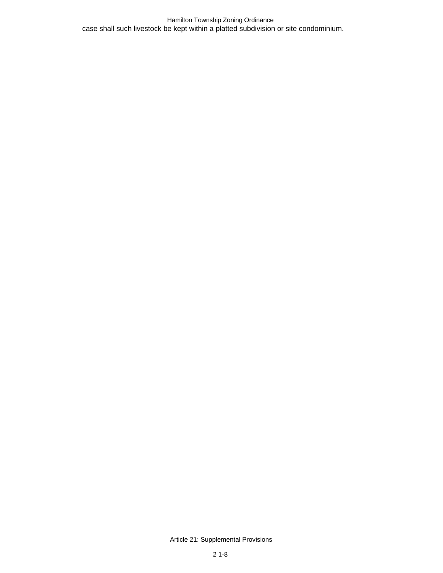Hamilton Township Zoning Ordinance case shall such livestock be kept within a platted subdivision or site condominium.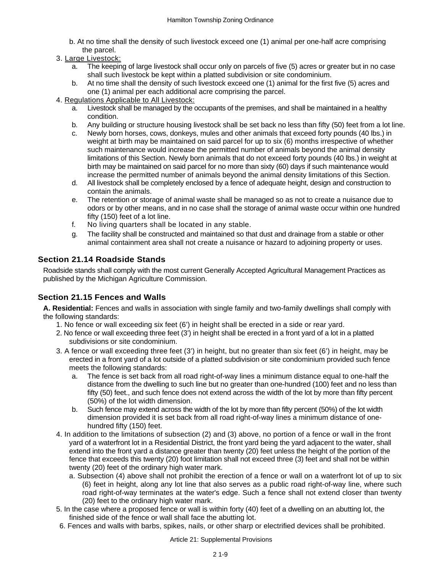- b. At no time shall the density of such livestock exceed one (1) animal per one-half acre comprising the parcel.
- 3. Large Livestock:
	- a. The keeping of large livestock shall occur only on parcels of five (5) acres or greater but in no case shall such livestock be kept within a platted subdivision or site condominium.
	- b. At no time shall the density of such livestock exceed one (1) animal for the first five (5) acres and one (1) animal per each additional acre comprising the parcel.
- 4. Regulations Applicable to All Livestock:
	- a. Livestock shall be managed by the occupants of the premises, and shall be maintained in a healthy condition.
	- b. Any building or structure housing livestock shall be set back no less than fifty (50) feet from a lot line.
	- c. Newly born horses, cows, donkeys, mules and other animals that exceed forty pounds (40 lbs.) in weight at birth may be maintained on said parcel for up to six (6) months irrespective of whether such maintenance would increase the permitted number of animals beyond the animal density limitations of this Section. Newly born animals that do not exceed forty pounds (40 lbs.) in weight at birth may be maintained on said parcel for no more than sixty (60) days if such maintenance would increase the permitted number of animals beyond the animal density limitations of this Section.
	- d. All livestock shall be completely enclosed by a fence of adequate height, design and construction to contain the animals.
	- e. The retention or storage of animal waste shall be managed so as not to create a nuisance due to odors or by other means, and in no case shall the storage of animal waste occur within one hundred fifty (150) feet of a lot line.
	- f. No living quarters shall be located in any stable.
	- g. The facility shall be constructed and maintained so that dust and drainage from a stable or other animal containment area shall not create a nuisance or hazard to adjoining property or uses.

## **Section 21.14 Roadside Stands**

Roadside stands shall comply with the most current Generally Accepted Agricultural Management Practices as published by the Michigan Agriculture Commission.

## **Section 21.15 Fences and Walls**

**A. Residential:** Fences and walls in association with single family and two-family dwellings shall comply with the following standards:

- 1. No fence or wall exceeding six feet (6') in height shall be erected in a side or rear yard.
- 2. No fence or wall exceeding three feet (3') in height shall be erected in a front yard of a lot in a platted subdivisions or site condominium.
- 3. A fence or wall exceeding three feet (3') in height, but no greater than six feet (6') in height, may be erected in a front yard of a lot outside of a platted subdivision or site condominium provided such fence meets the following standards:
	- a. The fence is set back from all road right-of-way lines a minimum distance equal to one-half the distance from the dwelling to such line but no greater than one-hundred (100) feet and no less than fifty (50) feet., and such fence does not extend across the width of the lot by more than fifty percent (50%) of the lot width dimension.
	- b. Such fence may extend across the width of the lot by more than fifty percent (50%) of the lot width dimension provided it is set back from all road right-of-way lines a minimum distance of onehundred fifty (150) feet.
- 4. In addition to the limitations of subsection (2) and (3) above, no portion of a fence or wall in the front yard of a waterfront lot in a Residential District, the front yard being the yard adjacent to the water, shall extend into the front yard a distance greater than twenty (20) feet unless the height of the portion of the fence that exceeds this twenty (20) foot limitation shall not exceed three (3) feet and shall not be within twenty (20) feet of the ordinary high water mark.
	- a. Subsection (4) above shall not prohibit the erection of a fence or wall on a waterfront lot of up to six (6) feet in height, along any lot line that also serves as a public road right-of-way line, where such road right-of-way terminates at the water's edge. Such a fence shall not extend closer than twenty (20) feet to the ordinary high water mark.
- 5. In the case where a proposed fence or wall is within forty (40) feet of a dwelling on an abutting lot, the finished side of the fence or wall shall face the abutting lot.
- 6. Fences and walls with barbs, spikes, nails, or other sharp or electrified devices shall be prohibited.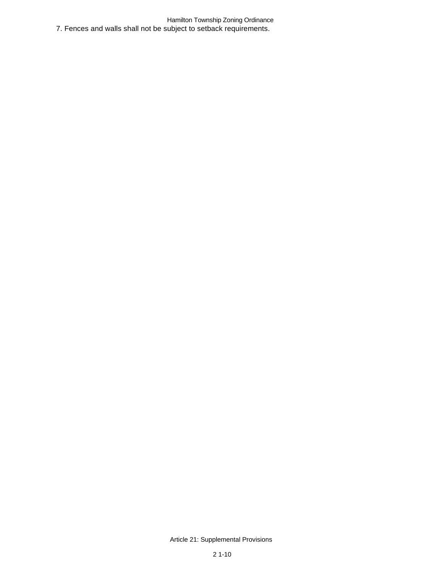Hamilton Township Zoning Ordinance 7. Fences and walls shall not be subject to setback requirements.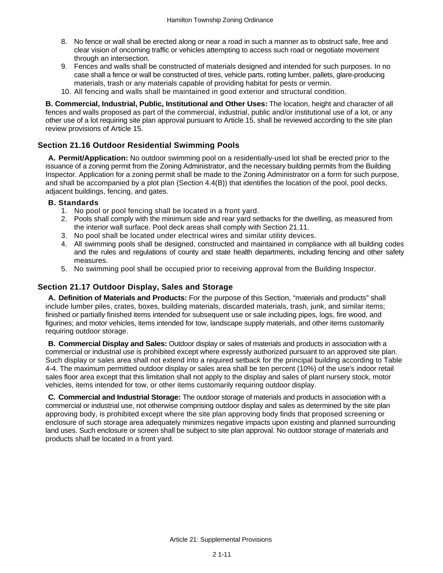- 8. No fence or wall shall be erected along or near a road in such a manner as to obstruct safe, free and clear vision of oncoming traffic or vehicles attempting to access such road or negotiate movement through an intersection.
- 9. Fences and walls shall be constructed of materials designed and intended for such purposes. In no case shall a fence or wall be constructed of tires, vehicle parts, rotting lumber, pallets, glare-producing materials, trash or any materials capable of providing habitat for pests or vermin.
- 10. All fencing and walls shall be maintained in good exterior and structural condition.

**B. Commercial, Industrial, Public, Institutional and Other Uses:** The location, height and character of all fences and walls proposed as part of the commercial, industrial, public and/or institutional use of a lot, or any other use of a lot requiring site plan approval pursuant to Article 15, shall be reviewed according to the site plan review provisions of Article 15.

## **Section 21.16 Outdoor Residential Swimming Pools**

**A. Permit/Application:** No outdoor swimming pool on a residentially-used lot shall be erected prior to the issuance of a zoning permit from the Zoning Administrator, and the necessary building permits from the Building Inspector. Application for a zoning permit shall be made to the Zoning Administrator on a form for such purpose, and shall be accompanied by a plot plan (Section 4.4(B)) that identifies the location of the pool, pool decks, adjacent buildings, fencing, and gates.

#### **B. Standards**

- 1. No pool or pool fencing shall be located in a front yard.
- 2. Pools shall comply with the minimum side and rear yard setbacks for the dwelling, as measured from the interior wall surface. Pool deck areas shall comply with Section 21.11.
- 3. No pool shall be located under electrical wires and similar utility devices.
- 4. All swimming pools shall be designed, constructed and maintained in compliance with all building codes and the rules and regulations of county and state health departments, including fencing and other safety measures.
- 5. No swimming pool shall be occupied prior to receiving approval from the Building Inspector.

### **Section 21.17 Outdoor Display, Sales and Storage**

**A. Definition of Materials and Products:** For the purpose of this Section, "materials and products" shall include lumber piles, crates, boxes, building materials, discarded materials, trash, junk, and similar items; finished or partially finished items intended for subsequent use or sale including pipes, logs, fire wood, and figurines; and motor vehicles, items intended for tow, landscape supply materials, and other items customarily requiring outdoor storage.

**B. Commercial Display and Sales:** Outdoor display or sales of materials and products in association with a commercial or industrial use is prohibited except where expressly authorized pursuant to an approved site plan. Such display or sales area shall not extend into a required setback for the principal building according to Table 4-4. The maximum permitted outdoor display or sales area shall be ten percent (10%) of the use's indoor retail sales floor area except that this limitation shall not apply to the display and sales of plant nursery stock, motor vehicles, items intended for tow, or other items customarily requiring outdoor display.

**C. Commercial and Industrial Storage:** The outdoor storage of materials and products in association with a commercial or industrial use, not otherwise comprising outdoor display and sales as determined by the site plan approving body, is prohibited except where the site plan approving body finds that proposed screening or enclosure of such storage area adequately minimizes negative impacts upon existing and planned surrounding land uses. Such enclosure or screen shall be subject to site plan approval. No outdoor storage of materials and products shall be located in a front yard.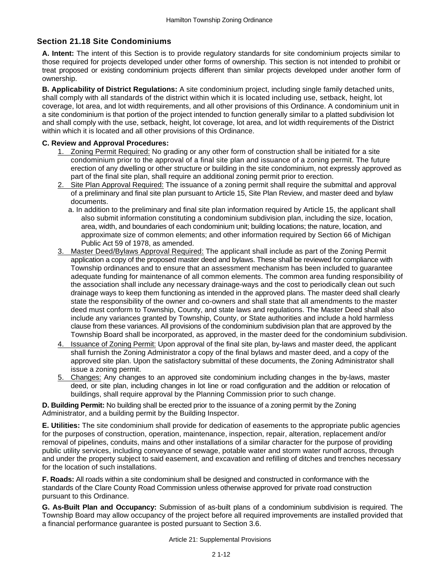## **Section 21.18 Site Condominiums**

**A. Intent:** The intent of this Section is to provide regulatory standards for site condominium projects similar to those required for projects developed under other forms of ownership. This section is not intended to prohibit or treat proposed or existing condominium projects different than similar projects developed under another form of ownership.

**B. Applicability of District Regulations:** A site condominium project, including single family detached units, shall comply with all standards of the district within which it is located including use, setback, height, lot coverage, lot area, and lot width requirements, and all other provisions of this Ordinance. A condominium unit in a site condominium is that portion of the project intended to function generally similar to a platted subdivision lot and shall comply with the use, setback, height, lot coverage, lot area, and lot width requirements of the District within which it is located and all other provisions of this Ordinance.

### **C. Review and Approval Procedures:**

- 1. Zoning Permit Required: No grading or any other form of construction shall be initiated for a site condominium prior to the approval of a final site plan and issuance of a zoning permit. The future erection of any dwelling or other structure or building in the site condominium, not expressly approved as part of the final site plan, shall require an additional zoning permit prior to erection.
- 2. Site Plan Approval Required: The issuance of a zoning permit shall require the submittal and approval of a preliminary and final site plan pursuant to Article 15, Site Plan Review, and master deed and bylaw documents.
	- a. In addition to the preliminary and final site plan information required by Article 15, the applicant shall also submit information constituting a condominium subdivision plan, including the size, location, area, width, and boundaries of each condominium unit; building locations; the nature, location, and approximate size of common elements; and other information required by Section 66 of Michigan Public Act 59 of 1978, as amended.
- 3. Master Deed/Bylaws Approval Required: The applicant shall include as part of the Zoning Permit application a copy of the proposed master deed and bylaws. These shall be reviewed for compliance with Township ordinances and to ensure that an assessment mechanism has been included to guarantee adequate funding for maintenance of all common elements. The common area funding responsibility of the association shall include any necessary drainage-ways and the cost to periodically clean out such drainage ways to keep them functioning as intended in the approved plans. The master deed shall clearly state the responsibility of the owner and co-owners and shall state that all amendments to the master deed must conform to Township, County, and state laws and regulations. The Master Deed shall also include any variances granted by Township, County, or State authorities and include a hold harmless clause from these variances. All provisions of the condominium subdivision plan that are approved by the Township Board shall be incorporated, as approved, in the master deed for the condominium subdivision.
- 4. Issuance of Zoning Permit: Upon approval of the final site plan, by-laws and master deed, the applicant shall furnish the Zoning Administrator a copy of the final bylaws and master deed, and a copy of the approved site plan. Upon the satisfactory submittal of these documents, the Zoning Administrator shall issue a zoning permit.
- 5. Changes: Any changes to an approved site condominium including changes in the by-laws, master deed, or site plan, including changes in lot line or road configuration and the addition or relocation of buildings, shall require approval by the Planning Commission prior to such change.

**D. Building Permit:** No building shall be erected prior to the issuance of a zoning permit by the Zoning Administrator, and a building permit by the Building Inspector.

**E. Utilities:** The site condominium shall provide for dedication of easements to the appropriate public agencies for the purposes of construction, operation, maintenance, inspection, repair, alteration, replacement and/or removal of pipelines, conduits, mains and other installations of a similar character for the purpose of providing public utility services, including conveyance of sewage, potable water and storm water runoff across, through and under the property subject to said easement, and excavation and refilling of ditches and trenches necessary for the location of such installations.

**F. Roads:** All roads within a site condominium shall be designed and constructed in conformance with the standards of the Clare County Road Commission unless otherwise approved for private road construction pursuant to this Ordinance.

**G. As-Built Plan and Occupancy:** Submission of as-built plans of a condominium subdivision is required. The Township Board may allow occupancy of the project before all required improvements are installed provided that a financial performance guarantee is posted pursuant to Section 3.6.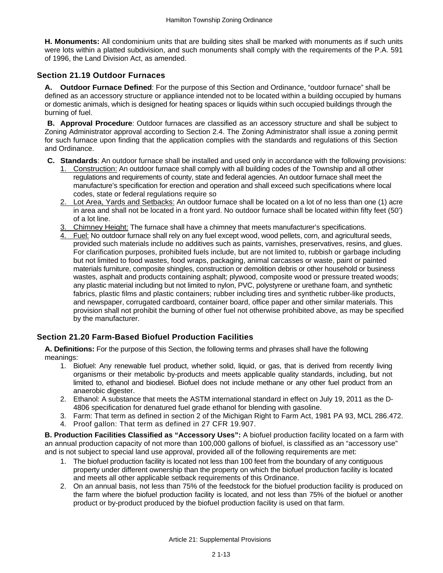**H. Monuments:** All condominium units that are building sites shall be marked with monuments as if such units were lots within a platted subdivision, and such monuments shall comply with the requirements of the P.A. 591 of 1996, the Land Division Act, as amended.

### **Section 21.19 Outdoor Furnaces**

**A. Outdoor Furnace Defined**: For the purpose of this Section and Ordinance, "outdoor furnace" shall be defined as an accessory structure or appliance intended not to be located within a building occupied by humans or domestic animals, which is designed for heating spaces or liquids within such occupied buildings through the burning of fuel.

**B. Approval Procedure**: Outdoor furnaces are classified as an accessory structure and shall be subject to Zoning Administrator approval according to Section 2.4. The Zoning Administrator shall issue a zoning permit for such furnace upon finding that the application complies with the standards and regulations of this Section and Ordinance.

- **C. Standards**: An outdoor furnace shall be installed and used only in accordance with the following provisions:
	- 1. Construction: An outdoor furnace shall comply with all building codes of the Township and all other regulations and requirements of county, state and federal agencies. An outdoor furnace shall meet the manufacture's specification for erection and operation and shall exceed such specifications where local codes, state or federal regulations require so
	- 2. Lot Area, Yards and Setbacks: An outdoor furnace shall be located on a lot of no less than one (1) acre in area and shall not be located in a front yard. No outdoor furnace shall be located within fifty feet (50') of a lot line.
	- 3. Chimney Height: The furnace shall have a chimney that meets manufacturer's specifications.
	- 4. Fuel: No outdoor furnace shall rely on any fuel except wood, wood pellets, corn, and agricultural seeds, provided such materials include no additives such as paints, varnishes, preservatives, resins, and glues. For clarification purposes, prohibited fuels include, but are not limited to, rubbish or garbage including but not limited to food wastes, food wraps, packaging, animal carcasses or waste, paint or painted materials furniture, composite shingles, construction or demolition debris or other household or business wastes, asphalt and products containing asphalt; plywood, composite wood or pressure treated woods; any plastic material including but not limited to nylon, PVC, polystyrene or urethane foam, and synthetic fabrics, plastic films and plastic containers; rubber including tires and synthetic rubber-like products, and newspaper, corrugated cardboard, container board, office paper and other similar materials. This provision shall not prohibit the burning of other fuel not otherwise prohibited above, as may be specified by the manufacturer.

## **Section 21.20 Farm-Based Biofuel Production Facilities**

**A. Definitions:** For the purpose of this Section, the following terms and phrases shall have the following meanings:

- 1. Biofuel: Any renewable fuel product, whether solid, liquid, or gas, that is derived from recently living organisms or their metabolic by-products and meets applicable quality standards, including, but not limited to, ethanol and biodiesel. Biofuel does not include methane or any other fuel product from an anaerobic digester.
- 2. Ethanol: A substance that meets the ASTM international standard in effect on July 19, 2011 as the D-4806 specification for denatured fuel grade ethanol for blending with gasoline.
- 3. Farm: That term as defined in section 2 of the Michigan Right to Farm Act, 1981 PA 93, MCL 286.472.
- 4. Proof gallon: That term as defined in 27 CFR 19.907.

**B. Production Facilities Classified as "Accessory Uses":** A biofuel production facility located on a farm with an annual production capacity of not more than 100,000 gallons of biofuel, is classified as an "accessory use" and is not subject to special land use approval, provided all of the following requirements are met:

- 1. The biofuel production facility is located not less than 100 feet from the boundary of any contiguous property under different ownership than the property on which the biofuel production facility is located and meets all other applicable setback requirements of this Ordinance.
- 2. On an annual basis, not less than 75% of the feedstock for the biofuel production facility is produced on the farm where the biofuel production facility is located, and not less than 75% of the biofuel or another product or by-product produced by the biofuel production facility is used on that farm.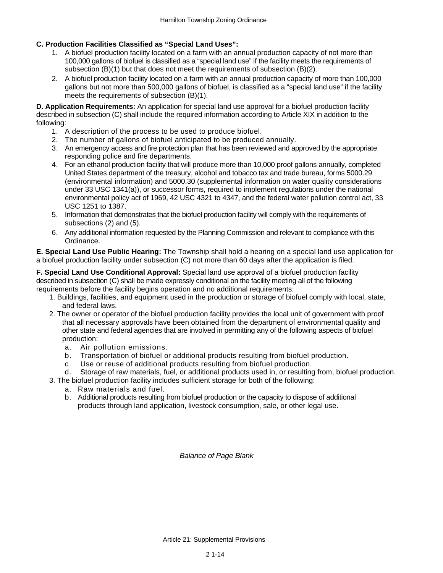### **C. Production Facilities Classified as "Special Land Uses":**

- 1. A biofuel production facility located on a farm with an annual production capacity of not more than 100,000 gallons of biofuel is classified as a "special land use" if the facility meets the requirements of subsection (B)(1) but that does not meet the requirements of subsection (B)(2).
- 2. A biofuel production facility located on a farm with an annual production capacity of more than 100,000 gallons but not more than 500,000 gallons of biofuel, is classified as a "special land use" if the facility meets the requirements of subsection (B)(1).

**D. Application Requirements:** An application for special land use approval for a biofuel production facility described in subsection (C) shall include the required information according to Article XIX in addition to the following:

- 1. A description of the process to be used to produce biofuel.
- 2. The number of gallons of biofuel anticipated to be produced annually.
- 3. An emergency access and fire protection plan that has been reviewed and approved by the appropriate responding police and fire departments.
- 4. For an ethanol production facility that will produce more than 10,000 proof gallons annually, completed United States department of the treasury, alcohol and tobacco tax and trade bureau, forms 5000.29 (environmental information) and 5000.30 (supplemental information on water quality considerations under 33 USC 1341(a)), or successor forms, required to implement regulations under the national environmental policy act of 1969, 42 USC 4321 to 4347, and the federal water pollution control act, 33 USC 1251 to 1387.
- 5. Information that demonstrates that the biofuel production facility will comply with the requirements of subsections (2) and (5).
- 6. Any additional information requested by the Planning Commission and relevant to compliance with this Ordinance.

**E. Special Land Use Public Hearing:** The Township shall hold a hearing on a special land use application for a biofuel production facility under subsection (C) not more than 60 days after the application is filed.

**F. Special Land Use Conditional Approval:** Special land use approval of a biofuel production facility described in subsection (C) shall be made expressly conditional on the facility meeting all of the following requirements before the facility begins operation and no additional requirements:

- 1. Buildings, facilities, and equipment used in the production or storage of biofuel comply with local, state, and federal laws.
- 2. The owner or operator of the biofuel production facility provides the local unit of government with proof that all necessary approvals have been obtained from the department of environmental quality and other state and federal agencies that are involved in permitting any of the following aspects of biofuel production:
	- a. Air pollution emissions.
	- b. Transportation of biofuel or additional products resulting from biofuel production.
	- c. Use or reuse of additional products resulting from biofuel production.
	- d. Storage of raw materials, fuel, or additional products used in, or resulting from, biofuel production.
- 3. The biofuel production facility includes sufficient storage for both of the following:
	- a. Raw materials and fuel.
		- b. Additional products resulting from biofuel production or the capacity to dispose of additional products through land application, livestock consumption, sale, or other legal use.

*Balance of Page Blank*